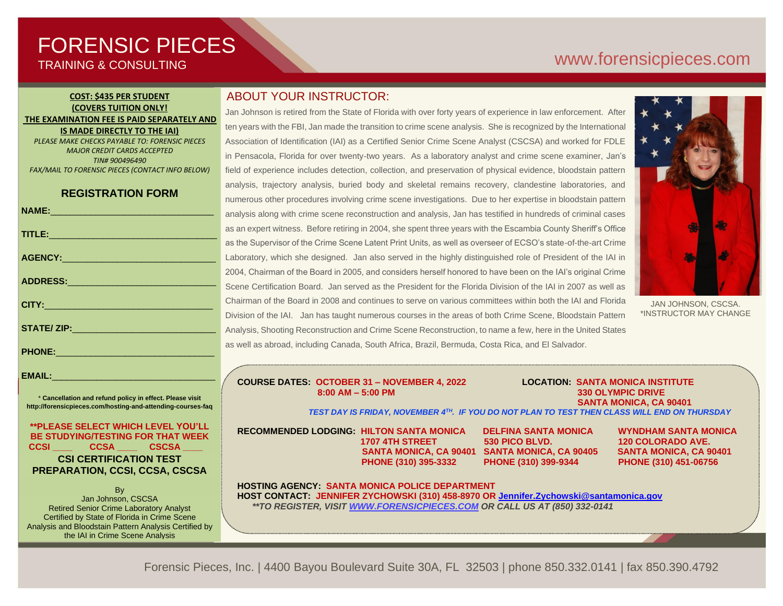# FORENSIC PIECES TRAINING & CONSULTING

# [www.forensicp](http://www.forensic/)ieces.com

#### **COST: \$435 PER STUDENT (COVERS TUITION ONLY! THE EXAMINATION FEE IS PAID SEPARATELY AND IS MADE DIRECTLY TO THE IAI)** *PLEASE MAKE CHECKS PAYABLE TO: FORENSIC PIECES*

*MAJOR CREDIT CARDS ACCEPTED TIN# 900496490 FAX/MAIL TO FORENSIC PIECES (CONTACT INFO BELOW)*

# **REGISTRATION FORM**

|                                                                                                                                                                                                                                | a                        |
|--------------------------------------------------------------------------------------------------------------------------------------------------------------------------------------------------------------------------------|--------------------------|
| TITLE: Production of the contract of the contract of the contract of the contract of the contract of the contract of the contract of the contract of the contract of the contract of the contract of the contract of the contr | a                        |
|                                                                                                                                                                                                                                | a                        |
|                                                                                                                                                                                                                                | $\overline{\mathsf{L}}%$ |
|                                                                                                                                                                                                                                | $\overline{2}$           |
|                                                                                                                                                                                                                                | S                        |
|                                                                                                                                                                                                                                | $\mathsf{C}$             |
|                                                                                                                                                                                                                                | D                        |
|                                                                                                                                                                                                                                | $\overline{A}$           |
| PHONE: 2000 2000 2010 2010 2010 2011                                                                                                                                                                                           | a                        |
|                                                                                                                                                                                                                                |                          |

EMAIL:

\* **Cancellation and refund policy in effect. Please visit http://forensicpieces.com/hosting-and-attending-courses-faq**

### **\*\*PLEASE SELECT WHICH LEVEL YOU'LL BE STUDYING/TESTING FOR THAT WEEK CCSI \_\_\_\_ CCSA \_\_\_\_ CSCSA \_\_\_\_ CSI CERTIFICATION TEST**

### **PREPARATION, CCSI, CCSA, CSCSA B** Jan Johnson, CSCSA

Retired Senior Crime Laboratory Analyst Certified by State of Florida in Crime Scene Analysis and Bloodstain Pattern Analysis Certified by the IAI in Crime Scene Analysis

President of Forensic Pieces, Inc.

# ABOUT YOUR INSTRUCTOR:

Jan Johnson is retired from the State of Florida with over forty years of experience in law enforcement. After ten years with the FBI, Jan made the transition to crime scene analysis. She is recognized by the International Association of Identification (IAI) as a Certified Senior Crime Scene Analyst (CSCSA) and worked for FDLE in Pensacola, Florida for over twenty-two years. As a laboratory analyst and crime scene examiner, Jan's field of experience includes detection, collection, and preservation of physical evidence, bloodstain pattern analysis, trajectory analysis, buried body and skeletal remains recovery, clandestine laboratories, and numerous other procedures involving crime scene investigations. Due to her expertise in bloodstain pattern analysis along with crime scene reconstruction and analysis, Jan has testified in hundreds of criminal cases as an expert witness. Before retiring in 2004, she spent three years with the Escambia County Sheriff's Office as the Supervisor of the Crime Scene Latent Print Units, as well as overseer of ECSO's state-of-the-art Crime Laboratory, which she designed. Jan also served in the highly distinguished role of President of the IAI in 2004, Chairman of the Board in 2005, and considers herself honored to have been on the IAI's original Crime Scene Certification Board. Jan served as the President for the Florida Division of the IAI in 2007 as well as Chairman of the Board in 2008 and continues to serve on various committees within both the IAI and Florida Division of the IAI. Jan has taught numerous courses in the areas of both Crime Scene, Bloodstain Pattern Analysis, Shooting Reconstruction and Crime Scene Reconstruction, to name a few, here in the United States as well as abroad, including Canada, South Africa, Brazil, Bermuda, Costa Rica, and El Salvador.



JAN JOHNSON, CSCSA. \*INSTRUCTOR MAY CHANGE

#### **COURSE DATES: OCTOBER 31 – NOVEMBER 4, 2022 LOCATION: SANTA MONICA INSTITUTE 8:00 AM – 5:00 PM 330 OLYMPIC DRIVE**

 **SANTA MONICA, CA 90401**

*TEST DAY IS FRIDAY, NOVEMBER 4TH. IF YOU DO NOT PLAN TO TEST THEN CLASS WILL END ON THURSDAY*

**RECOMMENDED LODGING: HILTON SANTA MONICA DELFINA SANTA MONICA WYNDHAM SANTA MONICA**

 **1707 4TH STREET 530 PICO BLVD. 120 COLORADO AVE. SANTA MONICA, CA 90401 SANTA MONICA, CA 90405 SANTA MONICA, CA 90401 PHONE (310) 395-3332 PHONE (310) 399-9344 PHONE (310) 451-06756**

**HOSTING AGENCY: SANTA MONICA POLICE DEPARTMENT HOST CONTACT: JENNIFER ZYCHOWSKI (310) 458-8970 OR [Jennifer.Zychowski@santamonica.gov](mailto:Jennifer.Zychowski@santamonica.gov)**  *\*\*TO REGISTER, VISIT [WWW.FORENSICPIECES.COM](http://www.forensicpieces.com/) OR CALL US AT (850) 332-0141*

Forensic Pieces, Inc. | 4400 Bayou Boulevard Suite 30A, FL 32503 | phone 850.332.0141 | fax 850.390.4792